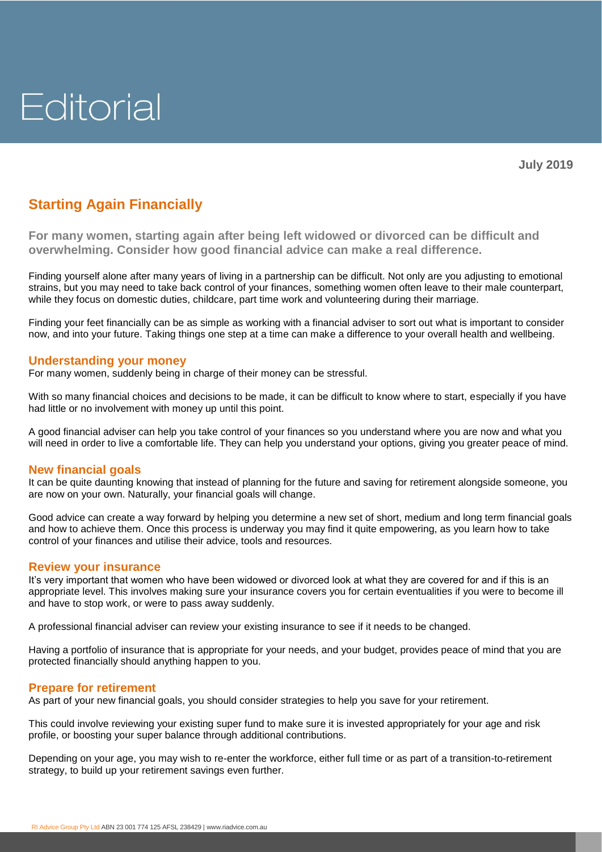

# **Starting Again Financially**

**For many women, starting again after being left widowed or divorced can be difficult and overwhelming. Consider how good financial advice can make a real difference.**

Finding yourself alone after many years of living in a partnership can be difficult. Not only are you adjusting to emotional strains, but you may need to take back control of your finances, something women often leave to their male counterpart, while they focus on domestic duties, childcare, part time work and volunteering during their marriage.

Finding your feet financially can be as simple as working with a financial adviser to sort out what is important to consider now, and into your future. Taking things one step at a time can make a difference to your overall health and wellbeing.

## **Understanding your money**

For many women, suddenly being in charge of their money can be stressful.

With so many financial choices and decisions to be made, it can be difficult to know where to start, especially if you have had little or no involvement with money up until this point.

A good financial adviser can help you take control of your finances so you understand where you are now and what you will need in order to live a comfortable life. They can help you understand your options, giving you greater peace of mind.

# **New financial goals**

It can be quite daunting knowing that instead of planning for the future and saving for retirement alongside someone, you are now on your own. Naturally, your financial goals will change.

Good advice can create a way forward by helping you determine a new set of short, medium and long term financial goals and how to achieve them. Once this process is underway you may find it quite empowering, as you learn how to take control of your finances and utilise their advice, tools and resources.

#### **Review your insurance**

It's very important that women who have been widowed or divorced look at what they are covered for and if this is an appropriate level. This involves making sure your insurance covers you for certain eventualities if you were to become ill and have to stop work, or were to pass away suddenly.

A professional financial adviser can review your existing insurance to see if it needs to be changed.

Having a portfolio of insurance that is appropriate for your needs, and your budget, provides peace of mind that you are protected financially should anything happen to you.

#### **Prepare for retirement**

As part of your new financial goals, you should consider strategies to help you save for your retirement.

This could involve reviewing your existing super fund to make sure it is invested appropriately for your age and risk profile, or boosting your super balance through additional contributions.

Depending on your age, you may wish to re-enter the workforce, either full time or as part of a transition-to-retirement strategy, to build up your retirement savings even further.